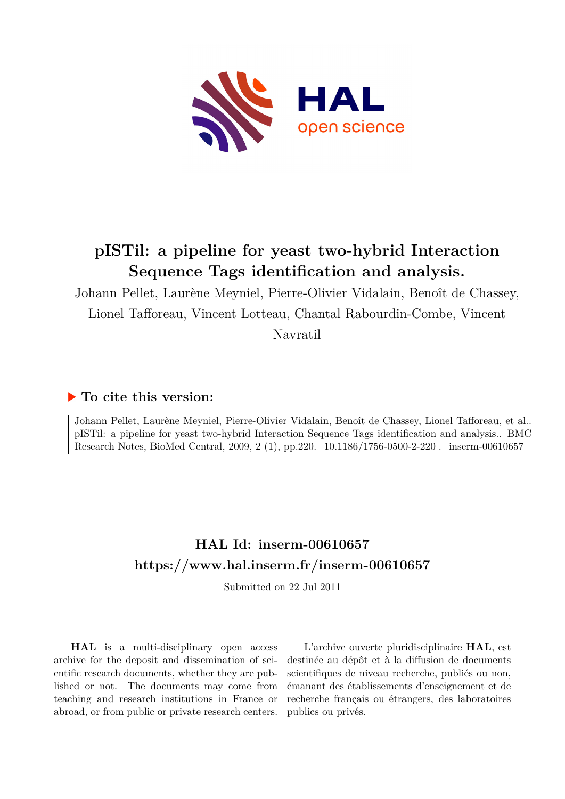

# **pISTil: a pipeline for yeast two-hybrid Interaction Sequence Tags identification and analysis.**

Johann Pellet, Laurène Meyniel, Pierre-Olivier Vidalain, Benoît de Chassey, Lionel Tafforeau, Vincent Lotteau, Chantal Rabourdin-Combe, Vincent Navratil

# **To cite this version:**

Johann Pellet, Laurène Meyniel, Pierre-Olivier Vidalain, Benoît de Chassey, Lionel Tafforeau, et al.. pISTil: a pipeline for yeast two-hybrid Interaction Sequence Tags identification and analysis.. BMC Research Notes, BioMed Central, 2009, 2 (1), pp.220.  $10.1186/1756-0500-2-220$ . inserm-00610657

# **HAL Id: inserm-00610657 <https://www.hal.inserm.fr/inserm-00610657>**

Submitted on 22 Jul 2011

**HAL** is a multi-disciplinary open access archive for the deposit and dissemination of scientific research documents, whether they are published or not. The documents may come from teaching and research institutions in France or abroad, or from public or private research centers.

L'archive ouverte pluridisciplinaire **HAL**, est destinée au dépôt et à la diffusion de documents scientifiques de niveau recherche, publiés ou non, émanant des établissements d'enseignement et de recherche français ou étrangers, des laboratoires publics ou privés.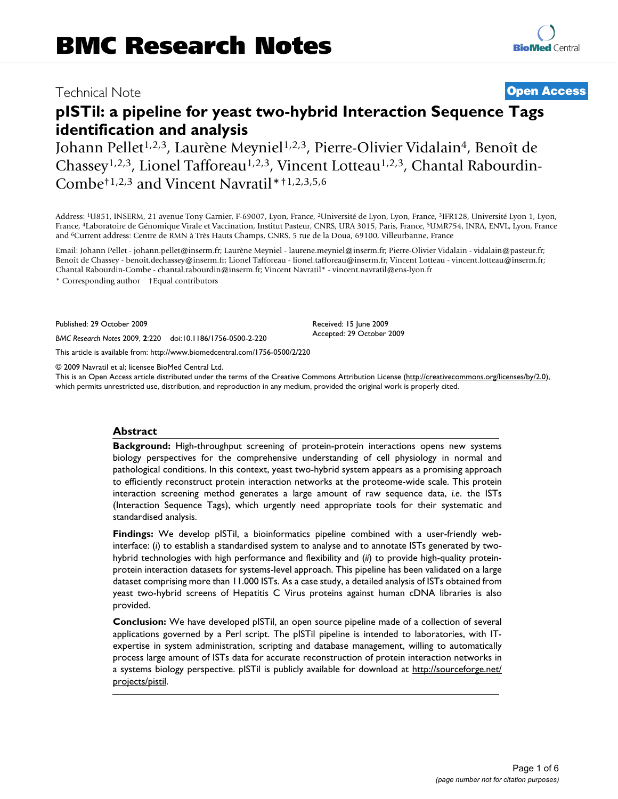# Technical Note **[Open Access](http://www.biomedcentral.com/info/about/charter/)**

# **pISTil: a pipeline for yeast two-hybrid Interaction Sequence Tags identification and analysis**

Johann Pellet<sup>1,2,3</sup>, Laurène Meyniel<sup>1,2,3</sup>, Pierre-Olivier Vidalain<sup>4</sup>, Benoît de Chassey<sup>1,2,3</sup>, Lionel Tafforeau<sup>1,2,3</sup>, Vincent Lotteau<sup>1,2,3</sup>, Chantal Rabourdin-Combe†1,2,3 and Vincent Navratil\*†1,2,3,5,6

Address: <sup>1</sup>U851, INSERM, 21 avenue Tony Garnier, F-69007, Lyon, France, <sup>2</sup>Université de Lyon, Lyon, France, <sup>3</sup>IFR128, Université Lyon 1, Lyon, France, <sup>4</sup>Laboratoire de Génomique Virale et Vaccination, Institut Pasteur, CNRS, URA 3015, Paris, France, <sup>5</sup>UMR754, INRA, ENVL, Lyon, France and <sup>6</sup>Current address: Centre de RMN à Très Hauts Champs, CNRS, 5 rue de la Doua, 69100, Villeurbanne, France

Email: Johann Pellet - johann.pellet@inserm.fr; Laurène Meyniel - laurene.meyniel@inserm.fr; Pierre-Olivier Vidalain - vidalain@pasteur.fr; Benoît de Chassey - benoit.dechassey@inserm.fr; Lionel Tafforeau - lionel.tafforeau@inserm.fr; Vincent Lotteau - vincent.lotteau@inserm.fr; Chantal Rabourdin-Combe - chantal.rabourdin@inserm.fr; Vincent Navratil\* - vincent.navratil@ens-lyon.fr

\* Corresponding author †Equal contributors

Published: 29 October 2009

*BMC Research Notes* 2009, **2**:220 doi:10.1186/1756-0500-2-220

[This article is available from: http://www.biomedcentral.com/1756-0500/2/220](http://www.biomedcentral.com/1756-0500/2/220)

© 2009 Navratil et al; licensee BioMed Central Ltd.

This is an Open Access article distributed under the terms of the Creative Commons Attribution License [\(http://creativecommons.org/licenses/by/2.0\)](http://creativecommons.org/licenses/by/2.0), which permits unrestricted use, distribution, and reproduction in any medium, provided the original work is properly cited.

Received: 15 June 2009 Accepted: 29 October 2009

#### **Abstract**

**Background:** High-throughput screening of protein-protein interactions opens new systems biology perspectives for the comprehensive understanding of cell physiology in normal and pathological conditions. In this context, yeast two-hybrid system appears as a promising approach to efficiently reconstruct protein interaction networks at the proteome-wide scale. This protein interaction screening method generates a large amount of raw sequence data, *i.e*. the ISTs (Interaction Sequence Tags), which urgently need appropriate tools for their systematic and standardised analysis.

**Findings:** We develop pISTil, a bioinformatics pipeline combined with a user-friendly webinterface: (*i*) to establish a standardised system to analyse and to annotate ISTs generated by twohybrid technologies with high performance and flexibility and (*ii*) to provide high-quality proteinprotein interaction datasets for systems-level approach. This pipeline has been validated on a large dataset comprising more than 11.000 ISTs. As a case study, a detailed analysis of ISTs obtained from yeast two-hybrid screens of Hepatitis C Virus proteins against human cDNA libraries is also provided.

**Conclusion:** We have developed pISTil, an open source pipeline made of a collection of several applications governed by a Perl script. The pISTil pipeline is intended to laboratories, with ITexpertise in system administration, scripting and database management, willing to automatically process large amount of ISTs data for accurate reconstruction of protein interaction networks in a systems biology perspective. pISTil is publicly available for download at [http://sourceforge.net/](http://sourceforge.net/projects/pistil) [projects/pistil.](http://sourceforge.net/projects/pistil)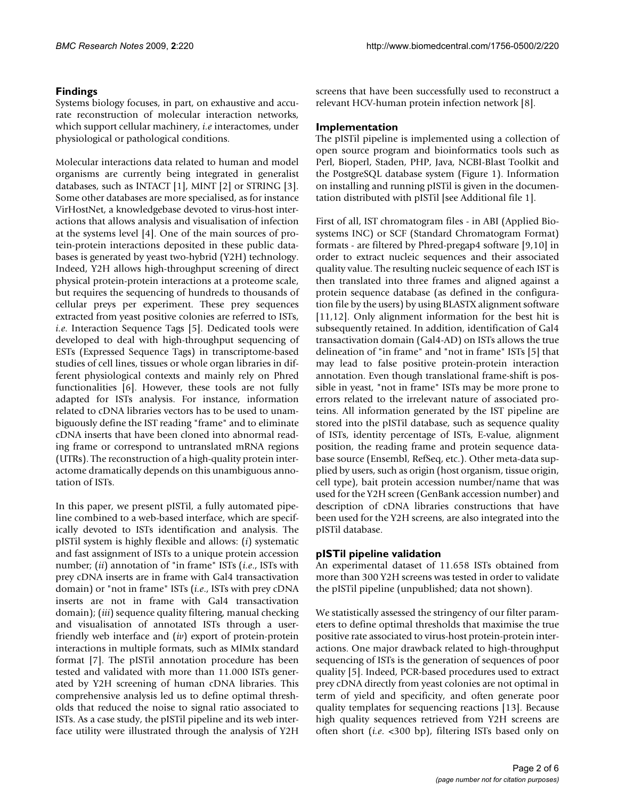# **Findings**

Systems biology focuses, in part, on exhaustive and accurate reconstruction of molecular interaction networks, which support cellular machinery, *i.e* interactomes, under physiological or pathological conditions.

Molecular interactions data related to human and model organisms are currently being integrated in generalist databases, such as INTACT [1], MINT [2] or STRING [3]. Some other databases are more specialised, as for instance VirHostNet, a knowledgebase devoted to virus-host interactions that allows analysis and visualisation of infection at the systems level [4]. One of the main sources of protein-protein interactions deposited in these public databases is generated by yeast two-hybrid (Y2H) technology. Indeed, Y2H allows high-throughput screening of direct physical protein-protein interactions at a proteome scale, but requires the sequencing of hundreds to thousands of cellular preys per experiment. These prey sequences extracted from yeast positive colonies are referred to ISTs, *i.e*. Interaction Sequence Tags [5]. Dedicated tools were developed to deal with high-throughput sequencing of ESTs (Expressed Sequence Tags) in transcriptome-based studies of cell lines, tissues or whole organ libraries in different physiological contexts and mainly rely on Phred functionalities [6]. However, these tools are not fully adapted for ISTs analysis. For instance, information related to cDNA libraries vectors has to be used to unambiguously define the IST reading "frame" and to eliminate cDNA inserts that have been cloned into abnormal reading frame or correspond to untranslated mRNA regions (UTRs). The reconstruction of a high-quality protein interactome dramatically depends on this unambiguous annotation of ISTs.

In this paper, we present pISTil, a fully automated pipeline combined to a web-based interface, which are specifically devoted to ISTs identification and analysis. The pISTil system is highly flexible and allows: (*i*) systematic and fast assignment of ISTs to a unique protein accession number; (*ii*) annotation of "in frame" ISTs (*i.e*., ISTs with prey cDNA inserts are in frame with Gal4 transactivation domain) or "not in frame" ISTs (*i.e*., ISTs with prey cDNA inserts are not in frame with Gal4 transactivation domain); (*iii*) sequence quality filtering, manual checking and visualisation of annotated ISTs through a userfriendly web interface and (*iv*) export of protein-protein interactions in multiple formats, such as MIMIx standard format [7]. The pISTil annotation procedure has been tested and validated with more than 11.000 ISTs generated by Y2H screening of human cDNA libraries. This comprehensive analysis led us to define optimal thresholds that reduced the noise to signal ratio associated to ISTs. As a case study, the pISTil pipeline and its web interface utility were illustrated through the analysis of Y2H

screens that have been successfully used to reconstruct a relevant HCV-human protein infection network [8].

# **Implementation**

The pISTil pipeline is implemented using a collection of open source program and bioinformatics tools such as Perl, Bioperl, Staden, PHP, Java, NCBI-Blast Toolkit and the PostgreSQL database system (Figure 1). Information on installing and running pISTil is given in the documentation distributed with pISTil [see Additional file 1].

First of all, IST chromatogram files - in ABI (Applied Biosystems INC) or SCF (Standard Chromatogram Format) formats - are filtered by Phred-pregap4 software [9,10] in order to extract nucleic sequences and their associated quality value. The resulting nucleic sequence of each IST is then translated into three frames and aligned against a protein sequence database (as defined in the configuration file by the users) by using BLASTX alignment software [11,12]. Only alignment information for the best hit is subsequently retained. In addition, identification of Gal4 transactivation domain (Gal4-AD) on ISTs allows the true delineation of "in frame" and "not in frame" ISTs [5] that may lead to false positive protein-protein interaction annotation. Even though translational frame-shift is possible in yeast, "not in frame" ISTs may be more prone to errors related to the irrelevant nature of associated proteins. All information generated by the IST pipeline are stored into the pISTil database, such as sequence quality of ISTs, identity percentage of ISTs, E-value, alignment position, the reading frame and protein sequence database source (Ensembl, RefSeq, etc.). Other meta-data supplied by users, such as origin (host organism, tissue origin, cell type), bait protein accession number/name that was used for the Y2H screen (GenBank accession number) and description of cDNA libraries constructions that have been used for the Y2H screens, are also integrated into the pISTil database.

## **pISTil pipeline validation**

An experimental dataset of 11.658 ISTs obtained from more than 300 Y2H screens was tested in order to validate the pISTil pipeline (unpublished; data not shown).

We statistically assessed the stringency of our filter parameters to define optimal thresholds that maximise the true positive rate associated to virus-host protein-protein interactions. One major drawback related to high-throughput sequencing of ISTs is the generation of sequences of poor quality [5]. Indeed, PCR-based procedures used to extract prey cDNA directly from yeast colonies are not optimal in term of yield and specificity, and often generate poor quality templates for sequencing reactions [13]. Because high quality sequences retrieved from Y2H screens are often short (*i.e*. <300 bp), filtering ISTs based only on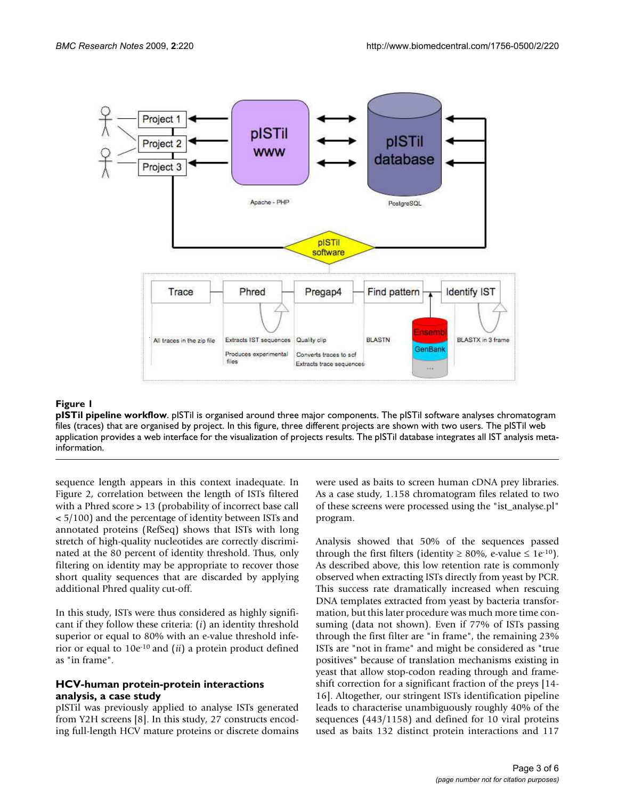

#### **Figure 1**

**pISTil pipeline workflow**. pISTil is organised around three major components. The pISTil software analyses chromatogram files (traces) that are organised by project. In this figure, three different projects are shown with two users. The pISTil web application provides a web interface for the visualization of projects results. The pISTil database integrates all IST analysis metainformation.

sequence length appears in this context inadequate. In Figure 2, correlation between the length of ISTs filtered with a Phred score > 13 (probability of incorrect base call < 5/100) and the percentage of identity between ISTs and annotated proteins (RefSeq) shows that ISTs with long stretch of high-quality nucleotides are correctly discriminated at the 80 percent of identity threshold. Thus, only filtering on identity may be appropriate to recover those short quality sequences that are discarded by applying additional Phred quality cut-off.

In this study, ISTs were thus considered as highly significant if they follow these criteria: (*i*) an identity threshold superior or equal to 80% with an e-value threshold inferior or equal to 10e-10 and (*ii*) a protein product defined as "in frame".

### **HCV-human protein-protein interactions analysis, a case study**

pISTil was previously applied to analyse ISTs generated from Y2H screens [8]. In this study, 27 constructs encoding full-length HCV mature proteins or discrete domains were used as baits to screen human cDNA prey libraries. As a case study, 1.158 chromatogram files related to two of these screens were processed using the "ist\_analyse.pl" program.

Analysis showed that 50% of the sequences passed through the first filters (identity  $\geq 80\%$ , e-value  $\leq 1e^{-10}$ ). As described above, this low retention rate is commonly observed when extracting ISTs directly from yeast by PCR. This success rate dramatically increased when rescuing DNA templates extracted from yeast by bacteria transformation, but this later procedure was much more time consuming (data not shown). Even if 77% of ISTs passing through the first filter are "in frame", the remaining 23% ISTs are "not in frame" and might be considered as "true positives" because of translation mechanisms existing in yeast that allow stop-codon reading through and frameshift correction for a significant fraction of the preys [14- 16]. Altogether, our stringent ISTs identification pipeline leads to characterise unambiguously roughly 40% of the sequences (443/1158) and defined for 10 viral proteins used as baits 132 distinct protein interactions and 117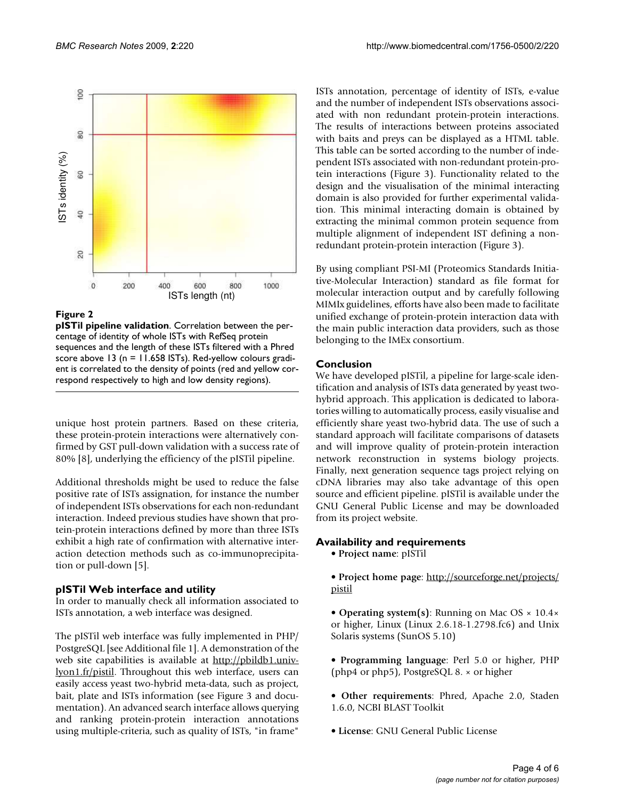

#### **Figure 2**

**pISTil pipeline validation**. Correlation between the percentage of identity of whole ISTs with RefSeq protein sequences and the length of these ISTs filtered with a Phred score above 13 (n = 11.658 ISTs). Red-yellow colours gradient is correlated to the density of points (red and yellow cor-

unique host protein partners. Based on these criteria, these protein-protein interactions were alternatively confirmed by GST pull-down validation with a success rate of 80% [8], underlying the efficiency of the pISTil pipeline.

Additional thresholds might be used to reduce the false positive rate of ISTs assignation, for instance the number of independent ISTs observations for each non-redundant interaction. Indeed previous studies have shown that protein-protein interactions defined by more than three ISTs exhibit a high rate of confirmation with alternative interaction detection methods such as co-immunoprecipitation or pull-down [5].

#### **pISTil Web interface and utility**

In order to manually check all information associated to ISTs annotation, a web interface was designed.

The pISTil web interface was fully implemented in PHP/ PostgreSQL [see Additional file 1]. A demonstration of the web site capabilities is available at [http://pbildb1.univ](http://pbildb1.univ-lyon1.fr/pistil)[lyon1.fr/pistil](http://pbildb1.univ-lyon1.fr/pistil). Throughout this web interface, users can easily access yeast two-hybrid meta-data, such as project, bait, plate and ISTs information (see Figure 3 and documentation). An advanced search interface allows querying and ranking protein-protein interaction annotations using multiple-criteria, such as quality of ISTs, "in frame"

ISTs annotation, percentage of identity of ISTs, e-value and the number of independent ISTs observations associated with non redundant protein-protein interactions. The results of interactions between proteins associated with baits and preys can be displayed as a HTML table. This table can be sorted according to the number of independent ISTs associated with non-redundant protein-protein interactions (Figure 3). Functionality related to the design and the visualisation of the minimal interacting domain is also provided for further experimental validation. This minimal interacting domain is obtained by extracting the minimal common protein sequence from multiple alignment of independent IST defining a nonredundant protein-protein interaction (Figure 3).

By using compliant PSI-MI (Proteomics Standards Initiative-Molecular Interaction) standard as file format for molecular interaction output and by carefully following MIMIx guidelines, efforts have also been made to facilitate unified exchange of protein-protein interaction data with the main public interaction data providers, such as those belonging to the IMEx consortium.

## **Conclusion**

We have developed pISTil, a pipeline for large-scale identification and analysis of ISTs data generated by yeast twohybrid approach. This application is dedicated to laboratories willing to automatically process, easily visualise and efficiently share yeast two-hybrid data. The use of such a standard approach will facilitate comparisons of datasets and will improve quality of protein-protein interaction network reconstruction in systems biology projects. Finally, next generation sequence tags project relying on cDNA libraries may also take advantage of this open source and efficient pipeline. pISTil is available under the GNU General Public License and may be downloaded from its project website.

## **Availability and requirements**

• **Project name**: pISTil

• **Project home page**: [http://sourceforge.net/projects/](http://sourceforge.net/projects/pistil) [pistil](http://sourceforge.net/projects/pistil)

- **Operating system(s)**: Running on Mac OS × 10.4× or higher, Linux (Linux 2.6.18-1.2798.fc6) and Unix Solaris systems (SunOS 5.10)
- **Programming language**: Perl 5.0 or higher, PHP (php4 or php5), PostgreSQL 8. × or higher
- **Other requirements**: Phred, Apache 2.0, Staden 1.6.0, NCBI BLAST Toolkit
- **License**: GNU General Public License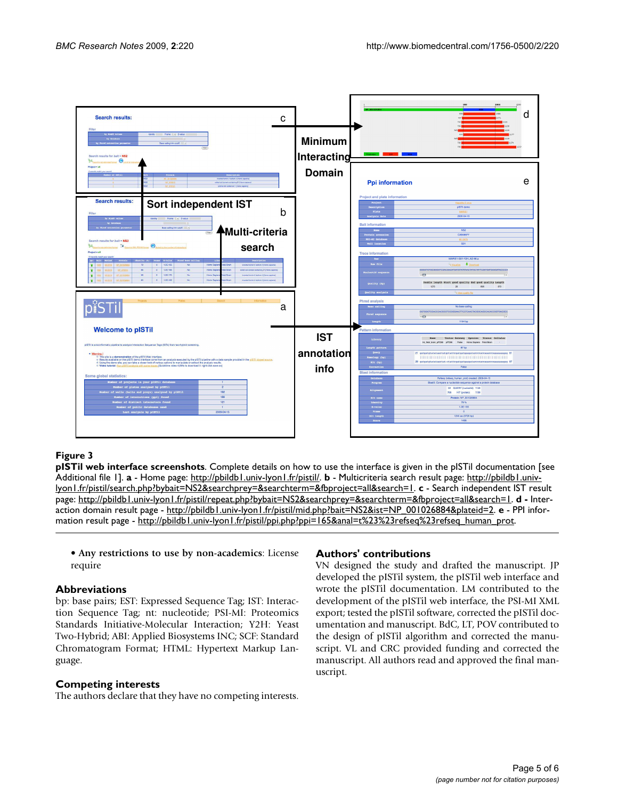

#### **Figure 3**

**pISTil web interface screenshots**. Complete details on how to use the interface is given in the pISTil documentation [see Additional file 1]. **a** - Home page: [http://pbildb1.univ-lyon1.fr/pistil/.](http://pbildb1.univ-lyon1.fr/pistil/) **b** - Multicriteria search result page: [http://pbildb1.univ](http://pbildb1.univ-lyon1.fr/pistil/search.php?bybait=NS2&searchprey=&searchterm=&fbproject=all&search=1)[lyon1.fr/pistil/search.php?bybait=NS2&searchprey=&searchterm=&fbproject=all&search=1](http://pbildb1.univ-lyon1.fr/pistil/search.php?bybait=NS2&searchprey=&searchterm=&fbproject=all&search=1). **c** - Search independent IST result page: [http://pbildb1.univ-lyon1.fr/pistil/repeat.php?bybait=NS2&searchprey=&searchterm=&fbproject=all&search=1.](http://pbildb1.univ-lyon1.fr/pistil/repeat.php?bybait=NS2&searchprey=&searchterm=&fbproject=all&search=1) **d -** Interaction domain result page - [http://pbildb1.univ-lyon1.fr/pistil/mid.php?bait=NS2&ist=NP\\_001026884&plateid=2](http://pbildb1.univ-lyon1.fr/pistil/mid.php?bait=NS2&ist=NP_001026884&plateid=2). **e** - PPI information result page - [http://pbildb1.univ-lyon1.fr/pistil/ppi.php?ppi=165&anal=t%23%23refseq%23refseq\\_human\\_prot.](http://pbildb1.univ-lyon1.fr/pistil/ppi.php?ppi=165&anal=t%23%23refseq%23refseq_human_prot)

• **Any restrictions to use by non-academics**: License require

#### **Abbreviations**

bp: base pairs; EST: Expressed Sequence Tag; IST: Interaction Sequence Tag; nt: nucleotide; PSI-MI: Proteomics Standards Initiative-Molecular Interaction; Y2H: Yeast Two-Hybrid; ABI: Applied Biosystems INC; SCF: Standard Chromatogram Format; HTML: Hypertext Markup Language.

#### **Competing interests**

The authors declare that they have no competing interests.

#### **Authors' contributions**

VN designed the study and drafted the manuscript. JP developed the pISTil system, the pISTil web interface and wrote the pISTil documentation. LM contributed to the development of the pISTil web interface, the PSI-MI XML export; tested the pISTil software, corrected the pISTil documentation and manuscript. BdC, LT, POV contributed to the design of pISTil algorithm and corrected the manuscript. VL and CRC provided funding and corrected the manuscript. All authors read and approved the final manuscript.